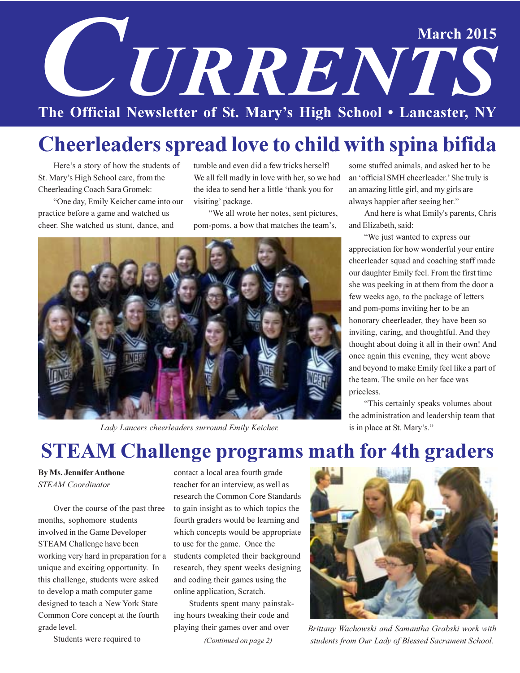# **March 2015** URRENTS The Official Newsletter of St. Mary's High School . Lancaster, NY

# **Cheerleaders spread love to child with spina bifida**

Here's a story of how the students of St. Mary's High School care, from the Cheerleading Coach Sara Gromek:

"One day, Emily Keicher came into our practice before a game and watched us cheer. She watched us stunt, dance, and

tumble and even did a few tricks herself! We all fell madly in love with her, so we had the idea to send her a little 'thank you for visiting' package.

"We all wrote her notes, sent pictures, pom-poms, a bow that matches the team's,



Lady Lancers cheerleaders surround Emily Keicher.

some stuffed animals, and asked her to be an 'official SMH cheerleader.' She truly is an amazing little girl, and my girls are always happier after seeing her."

And here is what Emily's parents, Chris and Elizabeth, said:

"We just wanted to express our appreciation for how wonderful your entire cheerleader squad and coaching staff made our daughter Emily feel. From the first time she was peeking in at them from the door a few weeks ago, to the package of letters and pom-poms inviting her to be an honorary cheerleader, they have been so inviting, caring, and thoughtful. And they thought about doing it all in their own! And once again this evening, they went above and beyond to make Emily feel like a part of the team. The smile on her face was priceless.

"This certainly speaks volumes about the administration and leadership team that is in place at St. Mary's."

### **STEAM Challenge programs math for 4th graders**

#### **By Ms. Jennifer Anthone STEAM** Coordinator

Over the course of the past three months, sophomore students involved in the Game Developer STEAM Challenge have been working very hard in preparation for a unique and exciting opportunity. In this challenge, students were asked to develop a math computer game designed to teach a New York State Common Core concept at the fourth grade level.

Students were required to

contact a local area fourth grade teacher for an interview, as well as research the Common Core Standards to gain insight as to which topics the fourth graders would be learning and which concepts would be appropriate to use for the game. Once the students completed their background research, they spent weeks designing and coding their games using the online application, Scratch.

Students spent many painstaking hours tweaking their code and playing their games over and over (Continued on page 2)



Brittany Wachowski and Samantha Grabski work with students from Our Lady of Blessed Sacrament School.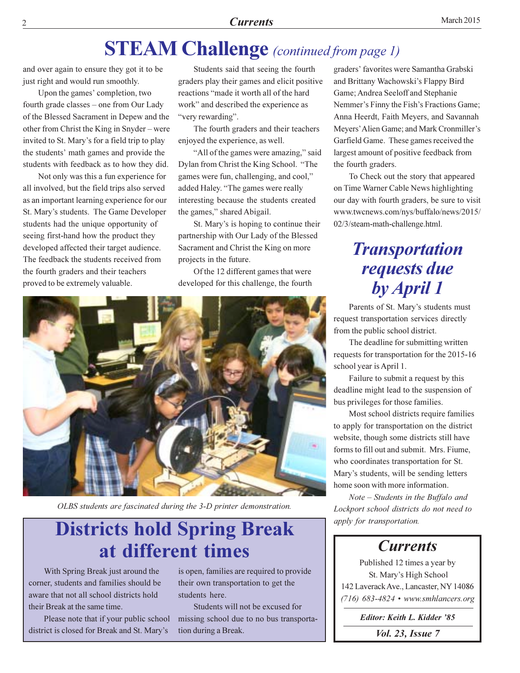### **STEAM Challenge** (continued from page 1)

and over again to ensure they got it to be just right and would run smoothly.

Upon the games' completion, two fourth grade classes – one from Our Lady of the Blessed Sacrament in Depew and the other from Christ the King in Snyder – were invited to St. Mary's for a field trip to play the students' math games and provide the students with feedback as to how they did.

Not only was this a fun experience for all involved, but the field trips also served as an important learning experience for our St. Mary's students. The Game Developer students had the unique opportunity of seeing first-hand how the product they developed affected their target audience. The feedback the students received from the fourth graders and their teachers proved to be extremely valuable.

Students said that seeing the fourth graders play their games and elicit positive reactions "made it worth all of the hard work" and described the experience as "very rewarding".

The fourth graders and their teachers enjoyed the experience, as well.

"All of the games were amazing," said Dylan from Christ the King School. "The games were fun, challenging, and cool," added Haley. "The games were really interesting because the students created the games," shared Abigail.

St. Mary's is hoping to continue their partnership with Our Lady of the Blessed Sacrament and Christ the King on more projects in the future.

Of the 12 different games that were developed for this challenge, the fourth



OLBS students are fascinated during the 3-D printer demonstration.

### **Districts hold Spring Break** at different times

With Spring Break just around the corner, students and families should be aware that not all school districts hold their Break at the same time.

Please note that if your public school district is closed for Break and St. Mary's

is open, families are required to provide their own transportation to get the students here.

Students will not be excused for missing school due to no bus transportation during a Break.

graders' favorites were Samantha Grabski and Brittany Wachowski's Flappy Bird Game; Andrea Seeloff and Stephanie Nemmer's Finny the Fish's Fractions Game; Anna Heerdt, Faith Meyers, and Savannah Meyers' Alien Game; and Mark Cronmiller's Garfield Game. These games received the largest amount of positive feedback from the fourth graders.

To Check out the story that appeared on Time Warner Cable News highlighting our day with fourth graders, be sure to visit www.twcnews.com/nys/buffalo/news/2015/ 02/3/steam-math-challenge.html.

### **Transportation** requests due by April 1

Parents of St. Mary's students must request transportation services directly from the public school district.

The deadline for submitting written requests for transportation for the 2015-16 school year is April 1.

Failure to submit a request by this deadline might lead to the suspension of bus privileges for those families.

Most school districts require families to apply for transportation on the district website, though some districts still have forms to fill out and submit. Mrs. Fiume, who coordinates transportation for St. Mary's students, will be sending letters home soon with more information.

Note - Students in the Buffalo and Lockport school districts do not need to apply for transportation.

#### **Currents**

Published 12 times a year by St. Mary's High School 142 Laverack Ave., Lancaster, NY 14086  $(716)$  683-4824 • www.smhlancers.org

Editor: Keith L. Kidder '85 Vol. 23, Issue 7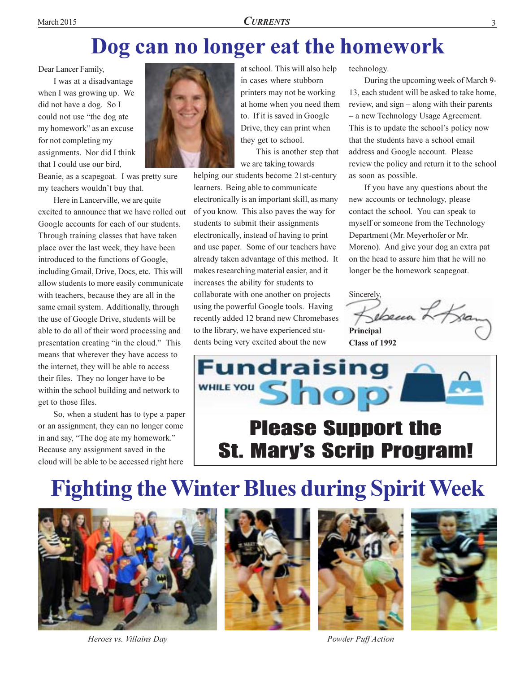### Dog can no longer eat the homework

Dear Lancer Family,

I was at a disadvantage when I was growing up. We did not have a dog. So I could not use "the dog ate my homework" as an excuse for not completing my assignments. Nor did I think that I could use our bird.

Beanie, as a scapegoat. I was pretty sure my teachers wouldn't buy that.

Here in Lancerville, we are quite excited to announce that we have rolled out Google accounts for each of our students. Through training classes that have taken place over the last week, they have been introduced to the functions of Google, including Gmail, Drive, Docs, etc. This will allow students to more easily communicate with teachers, because they are all in the same email system. Additionally, through the use of Google Drive, students will be able to do all of their word processing and presentation creating "in the cloud." This means that wherever they have access to the internet, they will be able to access their files. They no longer have to be within the school building and network to get to those files.

So, when a student has to type a paper or an assignment, they can no longer come in and say, "The dog ate my homework." Because any assignment saved in the cloud will be able to be accessed right here



at school. This will also help in cases where stubborn printers may not be working at home when you need them to. If it is saved in Google Drive, they can print when they get to school.

This is another step that we are taking towards

helping our students become 21st-century learners. Being able to communicate electronically is an important skill, as many of you know. This also paves the way for students to submit their assignments electronically, instead of having to print and use paper. Some of our teachers have already taken advantage of this method. It makes researching material easier, and it increases the ability for students to collaborate with one another on projects using the powerful Google tools. Having recently added 12 brand new Chromebases to the library, we have experienced students being very excited about the new

technology.

During the upcoming week of March 9-13, each student will be asked to take home. review, and  $sign - along with their parents$ - a new Technology Usage Agreement. This is to update the school's policy now that the students have a school email address and Google account. Please review the policy and return it to the school as soon as possible.

If you have any questions about the new accounts or technology, please contact the school. You can speak to myself or someone from the Technology Department (Mr. Meyerhofer or Mr. Moreno). And give your dog an extra pat on the head to assure him that he will no longer be the homework scapegoat.

Sincerely,

ebecca Lo Bran Principal Class of 1992



### **Please Support the St. Mary's Scrip Program!**

# **Fighting the Winter Blues during Spirit Week**



Heroes vs. Villains Day







Powder Puff Action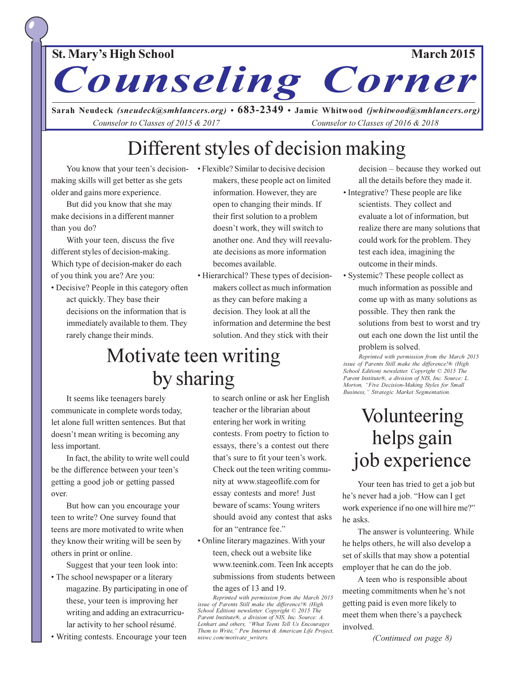#### **St. Mary's High School**

**March 2015** 

Counseling Corner

Sarah Neudeck (sneudeck@smhlancers.org) •  $683-2349$  • Jamie Whitwood (jwhitwood@smhlancers.org) Counselor to Classes of 2015 & 2017 Counselor to Classes of 2016 & 2018

### Different styles of decision making

You know that your teen's decisionmaking skills will get better as she gets older and gains more experience.

But did you know that she may make decisions in a different manner than you do?

With your teen, discuss the five different styles of decision-making. Which type of decision-maker do each of you think you are? Are you:

- Decisive? People in this category often act quickly. They base their decisions on the information that is immediately available to them. They rarely change their minds.
- Flexible? Similar to decisive decision makers, these people act on limited information. However, they are open to changing their minds. If their first solution to a problem doesn't work, they will switch to another one. And they will reevaluate decisions as more information becomes available.
- Hierarchical? These types of decisionmakers collect as much information as they can before making a decision. They look at all the information and determine the best solution. And they stick with their

### Motivate teen writing by sharing

It seems like teenagers barely communicate in complete words today, let alone full written sentences. But that doesn't mean writing is becoming any less important.

In fact, the ability to write well could be the difference between your teen's getting a good job or getting passed over.

But how can you encourage your teen to write? One survey found that teens are more motivated to write when they know their writing will be seen by others in print or online.

Suggest that your teen look into:

- The school newspaper or a literary magazine. By participating in one of these, your teen is improving her writing and adding an extracurricular activity to her school résumé.
- Writing contests. Encourage your teen

to search online or ask her English teacher or the librarian about entering her work in writing contests. From poetry to fiction to essays, there's a contest out there that's sure to fit your teen's work. Check out the teen writing community at www.stageoflife.com for essay contests and more! Just beware of scams: Young writers should avoid any contest that asks for an "entrance fee."

• Online literary magazines. With your teen, check out a website like www.teenink.com. Teen Ink accepts submissions from students between the ages of 13 and 19.

Reprinted with permission from the March 2015<br>issue of Parents Still make the difference!® (High School Edition) newsletter. Copyright © 2015 The Parent Institute®, a division of NIS, Inc. Source: A. Lenhart and others, "What Teens Tell Us Encourages Them to Write," Pew Internet & American Life Project, niswc.com/motivate writers.

decision – because they worked out all the details before they made it.

- Integrative? These people are like scientists. They collect and evaluate a lot of information, but realize there are many solutions that could work for the problem. They test each idea, imagining the outcome in their minds.
- Systemic? These people collect as much information as possible and come up with as many solutions as possible. They then rank the solutions from best to worst and try out each one down the list until the

problem is solved.

Reprinted with permission from the March 2015 issue of Parents Still make the difference!® (High School Edition) newsletter. Copyright © 2015 The Parent Institute®, a division of NIS, Inc. Source: L. Morton, "Five Decision-Making Styles for Small Business," Strategic Market Segmentation.

### Volunteering helps gain job experience

Your teen has tried to get a job but he's never had a job. "How can I get work experience if no one will hire me?" he asks.

The answer is volunteering. While he helps others, he will also develop a set of skills that may show a potential employer that he can do the job.

A teen who is responsible about meeting commitments when he's not getting paid is even more likely to meet them when there's a paycheck involved.

(Continued on page 8)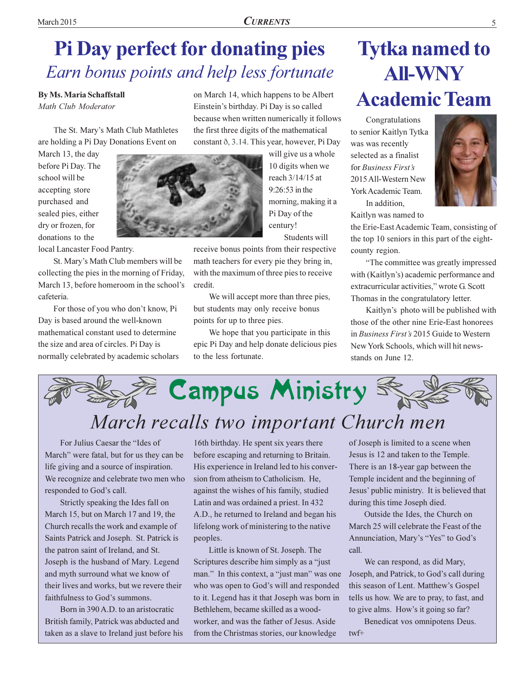### **Pi Day perfect for donating pies** Earn bonus points and help less fortunate

**By Ms. Maria Schaffstall** Math Club Moderator

The St. Mary's Math Club Mathletes are holding a Pi Day Donations Event on

March 13, the day before Pi Day. The school will be accepting store purchased and sealed pies, either dry or frozen, for donations to the

local Lancaster Food Pantry.

St. Mary's Math Club members will be collecting the pies in the morning of Friday, March 13, before homeroom in the school's cafeteria.

For those of you who don't know, Pi Day is based around the well-known mathematical constant used to determine the size and area of circles. Pi Day is normally celebrated by academic scholars on March 14, which happens to be Albert Einstein's birthday. Pi Day is so called because when written numerically it follows the first three digits of the mathematical constant  $\delta$ , 3.14. This year, however, Pi Day

> will give us a whole 10 digits when we reach 3/14/15 at  $9:26:53$  in the morning, making it a Pi Day of the century!

Students will

receive bonus points from their respective math teachers for every pie they bring in, with the maximum of three pies to receive credit.

We will accept more than three pies, but students may only receive bonus points for up to three pies.

We hope that you participate in this epic Pi Day and help donate delicious pies to the less fortunate.

# **Tytka named to AII-WNY Academic Team**

Congratulations to senior Kaitlyn Tytka was was recently selected as a finalist for Business First's 2015 All-Western New York Academic Team. In addition.



Kaitlyn was named to the Erie-East Academic Team, consisting of the top 10 seniors in this part of the eightcounty region.

"The committee was greatly impressed with (Kaitlyn's) academic performance and extracurricular activities." wrote G. Scott Thomas in the congratulatory letter.

Kaitlyn's photo will be published with those of the other nine Erie-East honorees in *Business First's* 2015 Guide to Western New York Schools, which will hit newsstands on June 12.



For Julius Caesar the "Ides of March" were fatal, but for us they can be life giving and a source of inspiration. We recognize and celebrate two men who responded to God's call.

Strictly speaking the Ides fall on March 15, but on March 17 and 19, the Church recalls the work and example of Saints Patrick and Joseph. St. Patrick is the patron saint of Ireland, and St. Joseph is the husband of Mary. Legend and myth surround what we know of their lives and works, but we revere their faithfulness to God's summons.

Born in 390 A.D. to an aristocratic British family, Patrick was abducted and taken as a slave to Ireland just before his

16th birthday. He spent six years there before escaping and returning to Britain. His experience in Ireland led to his conversion from atheism to Catholicism. He, against the wishes of his family, studied Latin and was ordained a priest. In 432 A.D., he returned to Ireland and began his lifelong work of ministering to the native peoples.

Little is known of St. Joseph. The Scriptures describe him simply as a "just" man." In this context, a "just man" was one who was open to God's will and responded to it. Legend has it that Joseph was born in Bethlehem, became skilled as a woodworker, and was the father of Jesus. Aside from the Christmas stories, our knowledge

of Joseph is limited to a scene when Jesus is 12 and taken to the Temple. There is an 18-year gap between the Temple incident and the beginning of Jesus' public ministry. It is believed that during this time Joseph died.

Outside the Ides, the Church on March 25 will celebrate the Feast of the Annunciation, Mary's "Yes" to God's call.

We can respond, as did Mary, Joseph, and Patrick, to God's call during this season of Lent. Matthew's Gospel tells us how. We are to pray, to fast, and to give alms. How's it going so far?

Benedicat vos omnipotens Deus.  $twf+$ 

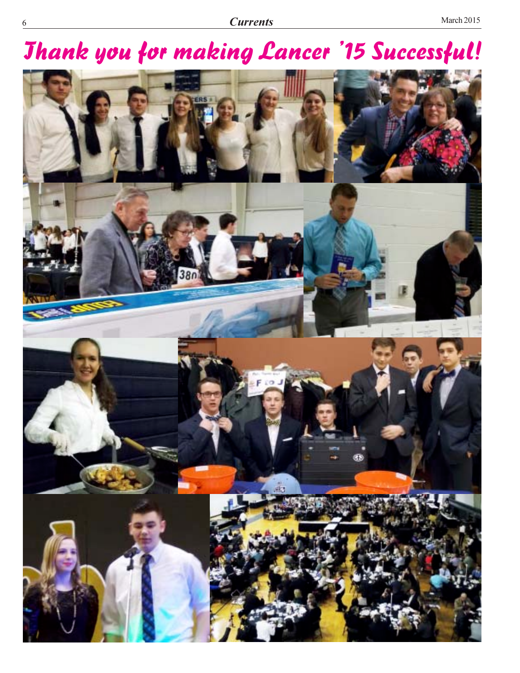# **Jhank you for making Lancer '15 Successful!**

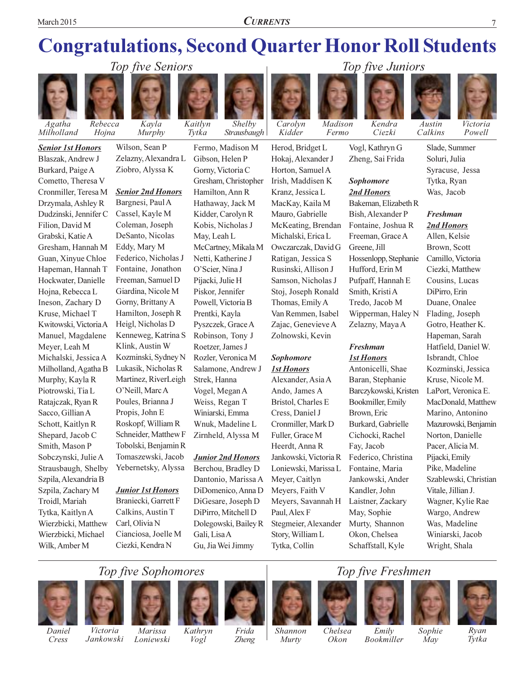**CURRENTS** 

### **Congratulations, Second Quarter Honor Roll Students**

Shelby



**Senior 1st Honors** 

Blaszak, Andrew J

Cometto, Theresa V

Cronmiller, Teresa M

Drzymala, Ashley R

Dudzinski, Jennifer C

Gresham, Hannah M

Guan, Xinyue Chloe

Hapeman, Hannah T

Hockwater, Danielle

Hoina, Rebecca L

Ineson, Zachary D

Kwitowski, Victoria A

Manuel, Magdalene

Michalski, Jessica A

Milholland, Agatha B

Murphy, Kayla R

Piotrowski, Tia L

Ratajczak, Ryan R

Schott, Kaitlyn R

Shepard, Jacob C

Sobczynski, Julie A

Szpila, Alexandria B

Szpila, Zachary M

Troidl, Mariah

Tytka, Kaitlyn A

Wilk, Amber M

Wierzbicki, Matthew

Wierzbicki, Michael

Strausbaugh, Shelby

Smith, Mason P

Sacco, Gillian A

Kruse, Michael T

Meyer, Leah M

Filion, David M

Grabski, Katie A

Burkard, Paige A



Wilson, Sean P Zelazny, Alexandra L Ziobro, Alyssa K

Kaitlyn

Tytka

#### **Senior 2nd Honors**

Bargnesi, Paul A Cassel, Kayle M Coleman, Joseph DeSanto, Nicolas Eddy, Mary M Federico, Nicholas J Fontaine, Jonathon Freeman, Samuel D Giardina, Nicole M Gorny, Brittany A Hamilton, Joseph R Heigl, Nicholas D Kenneweg, Katrina S Klink, Austin W Kozminski, Sydney N Lukasik, Nicholas R Martinez, RiverLeigh O'Neill, Marc A Poules, Brianna J Propis, John E Roskopf, William R Schneider, Matthew F Tobolski, Benjamin R Tomaszewski, Jacob Yebernetsky, Alyssa

#### **Junior 1st Honors**

Braniecki, Garrett F Calkins, Austin T Carl. Olivia N Cianciosa, Joelle M Ciezki, Kendra N

Fermo, Madison M Gibson, Helen P Gorny, Victoria C Gresham, Christopher Hamilton, Ann R Hathaway, Jack M Kidder, Carolyn R Kobis, Nicholas J May, Leah L McCartney, Mikala M Netti, Katherine J O'Scier, Nina J Pijacki, Julie H Piskor, Jennifer Powell, Victoria B Prentki, Kayla Pyszczek, Grace A Robinson, Tony J Roetzer, James J Rozler, Veronica M Salamone, Andrew J Strek, Hanna Vogel, Megan A Weiss, Regan T Winiarski, Emma Wnuk, Madeline L Zirnheld, Alyssa M

#### **Junior 2nd Honors**

Berchou, Bradley D Dantonio, Marissa A DiDomenico, Anna D DiGesare, Joseph D DiPirro, Mitchell D Dolegowski, Bailey R Gali, Lisa A Gu, Jia Wei Jimmy



Madison Fermo

Owczarczak, David G

Ratigan, Jessica S

Rusinski, Allison J

Samson, Nicholas J

Stoj, Joseph Ronald

Van Remmen, Isabel

Zajac, Genevieve A

Zolnowski, Kevin

Alexander, Asia A

Bristol, Charles E

Cronmiller, Mark D

Jankowski, Victoria R

Loniewski, Marissa L

Meyers, Savannah H

Stegmeier, Alexander

Ando, James A

Cress, Daniel J

Fuller, Grace M

Heerdt, Anna R

Meyer, Caitlyn

Paul. Alex F

Meyers, Faith V

Story, William L

Tytka, Collin

Sophomore

**1st Honors** 

Thomas, Emily A



Vogl, Kathryn G Zheng, Sai Frida

Kendra

Ciezki

Top five Juniors

#### **Sophomore** 2nd Honors

Bakeman, Elizabeth R Bish, Alexander P Fontaine, Joshua R Freeman, Grace A Greene, Jill Hossenlopp, Stephanie Hufford, Erin M Pufpaff, Hannah E Smith, Kristi A Tredo, Jacob M Wipperman, Haley N Zelazny, Maya A

#### **Freshman 1st Honors**

Antonicelli, Shae Baran, Stephanie Barczykowski, Kristen Bookmiller, Emily Brown, Eric Burkard, Gabrielle Cichocki, Rachel Fay, Jacob Federico, Christina Fontaine, Maria Jankowski, Ander Kandler, John Laistner, Zackary May, Sophie Murty, Shannon Okon, Chelsea Schaffstall, Kyle

Slade, Summer Soluri, Julia Syracuse, Jessa Tytka, Ryan Was, Jacob

Victoria

Powell

Austin

Calkins

#### **Freshman** 2nd Honors

Allen, Kelsie Brown, Scott Camillo, Victoria Ciezki, Matthew Cousins, Lucas DiPirro, Erin Duane, Onalee Flading, Joseph Gotro, Heather K. Hapeman, Sarah Hatfield, Daniel W. Isbrandt, Chloe Kozminski, Jessica Kruse, Nicole M. LaPort. Veronica E. MacDonald, Matthew Marino, Antonino Mazurowski, Benjamin Norton, Danielle Pacer, Alicia M. Pijacki, Emily Pike, Madeline Szablewski, Christian Vitale, Jillian J. Wagner, Kylie Rae Wargo, Andrew Was, Madeline Winiarski, Jacob Wright, Shala

### Top five Sophomores



Cress





Kathryn Vogl



Frida

Zheng



Murty







Chelsea Emily

Okon

**Bookmiller** 

Sophie May

Ryan Tytka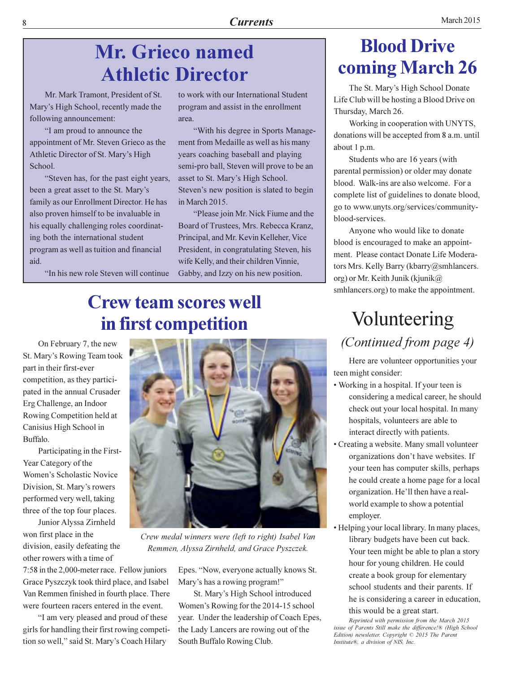### **Mr. Grieco named Athletic Director**

Mr. Mark Tramont. President of St. Mary's High School, recently made the following announcement:

"I am proud to announce the appointment of Mr. Steven Grieco as the Athletic Director of St. Mary's High School.

"Steven has, for the past eight years, been a great asset to the St. Mary's family as our Enrollment Director. He has also proven himself to be invaluable in his equally challenging roles coordinating both the international student program as well as tuition and financial aid.

"In his new role Steven will continue

to work with our International Student program and assist in the enrollment area.

"With his degree in Sports Management from Medaille as well as his many years coaching baseball and playing semi-pro ball, Steven will prove to be an asset to St. Mary's High School. Steven's new position is slated to begin in March 2015.

"Please join Mr. Nick Fiume and the Board of Trustees, Mrs. Rebecca Kranz, Principal, and Mr. Kevin Kelleher, Vice President, in congratulating Steven, his wife Kelly, and their children Vinnie, Gabby, and Izzy on his new position.

### **Crew team scores well** in first competition

On February 7, the new St. Mary's Rowing Team took part in their first-ever competition, as they participated in the annual Crusader Erg Challenge, an Indoor Rowing Competition held at Canisius High School in Buffalo.

Participating in the First-Year Category of the Women's Scholastic Novice Division, St. Mary's rowers performed very well, taking three of the top four places.

Junior Alyssa Zirnheld won first place in the division, easily defeating the other rowers with a time of

7:58 in the 2,000-meter race. Fellow juniors Grace Pyszczyk took third place, and Isabel Van Remmen finished in fourth place. There were fourteen racers entered in the event.

"I am very pleased and proud of these girls for handling their first rowing competition so well," said St. Mary's Coach Hilary



Crew medal winners were (left to right) Isabel Van Remmen, Alyssa Zirnheld, and Grace Pyszczek.

Epes. "Now, everyone actually knows St. Mary's has a rowing program!"

St. Mary's High School introduced Women's Rowing for the 2014-15 school year. Under the leadership of Coach Epes, the Lady Lancers are rowing out of the South Buffalo Rowing Club.

### **Blood Drive** coming March 26

The St. Mary's High School Donate Life Club will be hosting a Blood Drive on Thursday, March 26.

Working in cooperation with UNYTS, donations will be accepted from 8 a.m. until about 1 p.m.

Students who are 16 years (with parental permission) or older may donate blood. Walk-ins are also welcome. For a complete list of guidelines to donate blood, go to www.unyts.org/services/communityblood-services.

Anyone who would like to donate blood is encouraged to make an appointment. Please contact Donate Life Moderators Mrs. Kelly Barry (kbarry@smhlancers. org) or Mr. Keith Junik (kjunik $\omega$ smhlancers.org) to make the appointment.

### Volunteering (Continued from page 4)

Here are volunteer opportunities your teen might consider:

- Working in a hospital. If your teen is considering a medical career, he should check out your local hospital. In many hospitals, volunteers are able to interact directly with patients.
- Creating a website. Many small volunteer organizations don't have websites. If your teen has computer skills, perhaps he could create a home page for a local organization. He'll then have a realworld example to show a potential employer.
- Helping your local library. In many places, library budgets have been cut back. Your teen might be able to plan a story hour for young children. He could create a book group for elementary school students and their parents. If he is considering a career in education,

this would be a great start.

Reprinted with permission from the March 2015 issue of Parents Still make the difference!® (High School Edition) newsletter. Copyright © 2015 The Parent Institute®, a division of NIS, Inc.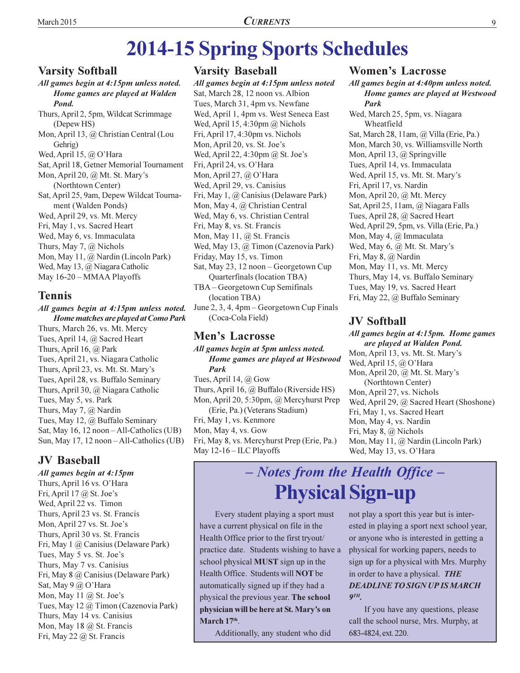# **2014-15 Spring Sports Schedules**

#### **Varsity Softball**

All games begin at 4:15pm unless noted. Home games are played at Walden Pond.

Thurs, April 2, 5pm, Wildcat Scrimmage (Depew HS) Mon, April 13, @ Christian Central (Lou Gehrig) Wed, April 15, @ O'Hara Sat, April 18, Getner Memorial Tournament Mon, April 20,  $\omega$  Mt. St. Mary's (Northtown Center) Sat, April 25, 9am, Depew Wildcat Tournament (Walden Ponds) Wed, April 29, vs. Mt. Mercy Fri, May 1, vs. Sacred Heart Wed, May 6, vs. Immaculata Thurs, May 7,  $\omega$  Nichols Mon, May 11, @ Nardin (Lincoln Park) Wed, May 13, @ Niagara Catholic May 16-20 - MMAA Playoffs

#### **Tennis**

All games begin at 4:15pm unless noted. Home matches are played at Como Park Thurs, March 26, vs. Mt. Mercy Tues, April 14, @ Sacred Heart Thurs, April 16,  $\omega$  Park Tues, April 21, vs. Niagara Catholic Thurs, April 23, vs. Mt. St. Mary's Tues, April 28, vs. Buffalo Seminary Thurs, April 30, @ Niagara Catholic Tues, May 5, vs. Park Thurs, May 7,  $\omega$  Nardin Tues, May 12, @ Buffalo Seminary Sat, May 16, 12 noon - All-Catholics (UB) Sun, May 17, 12 noon – All-Catholics (UB)

#### **JV Baseball**

All games begin at 4:15pm Thurs, April 16 vs. O'Hara Fri, April 17  $@$  St. Joe's Wed, April 22 vs. Timon Thurs, April 23 vs. St. Francis Mon, April 27 vs. St. Joe's Thurs, April 30 vs. St. Francis Fri, May 1 @ Canisius (Delaware Park) Tues, May 5 vs. St. Joe's Thurs, May 7 vs. Canisius Fri, May 8 @ Canisius (Delaware Park) Sat, May 9 @ O'Hara Mon, May 11  $\omega$  St. Joe's Tues, May 12 @ Timon (Cazenovia Park) Thurs, May 14 vs. Canisius Mon, May 18 @ St. Francis Fri, May 22  $\omega$  St. Francis

#### **Varsity Baseball**

All games begin at 4:15pm unless noted Sat, March 28, 12 noon vs. Albion Tues, March 31, 4pm vs. Newfane Wed, April 1, 4pm vs. West Seneca East Wed, April 15, 4:30pm  $@$  Nichols Fri, April 17, 4:30pm vs. Nichols Mon, April 20, vs. St. Joe's Wed, April 22, 4:30pm @ St. Joe's Fri, April 24, vs. O'Hara Mon, April 27,  $\omega$  O'Hara Wed, April 29, vs. Canisius Fri, May 1, @ Canisius (Delaware Park) Mon, May 4, @ Christian Central Wed, May 6, vs. Christian Central Fri, May 8, vs. St. Francis Mon, May 11, @ St. Francis Wed, May 13, @ Timon (Cazenovia Park) Friday, May 15, vs. Timon Sat, May 23, 12 noon - Georgetown Cup Quarterfinals (location TBA) TBA – Georgetown Cup Semifinals (location TBA)

June 2, 3, 4, 4pm – Georgetown Cup Finals (Coca-Cola Field)

#### **Men's Lacrosse**

All games begin at 5pm unless noted. Home games are played at Westwood **Park** 

Tues, April 14,  $\omega$  Gow Thurs, April 16,  $\omega$  Buffalo (Riverside HS) Mon, April 20, 5:30pm, @ Mercyhurst Prep (Erie, Pa.) (Veterans Stadium) Fri, May 1, vs. Kenmore Mon, May 4, vs. Gow Fri, May 8, vs. Mercyhurst Prep (Erie, Pa.) May  $12-16$  – ILC Playoffs

#### **Women's Lacrosse**

All games begin at 4:40pm unless noted. Home games are played at Westwood Park

Wed, March 25, 5pm, vs. Niagara Wheatfield Sat, March 28, 11am, @ Villa (Erie, Pa.) Mon, March 30, vs. Williamsville North Mon, April 13, @ Springville Tues, April 14, vs. Immaculata Wed, April 15, vs. Mt. St. Mary's Fri, April 17, vs. Nardin Mon, April 20, @ Mt. Mercy Sat, April 25, 11am, @ Niagara Falls Tues, April 28, @ Sacred Heart Wed, April 29, 5pm, vs. Villa (Erie, Pa.) Mon, May 4, @ Immaculata Wed, May 6, @ Mt. St. Mary's Fri, May 8, @ Nardin Mon, May 11, vs. Mt. Mercy Thurs, May 14, vs. Buffalo Seminary Tues, May 19, vs. Sacred Heart Fri, May 22, @ Buffalo Seminary

#### **JV Softball**

All games begin at 4:15pm. Home games are played at Walden Pond. Mon, April 13, vs. Mt. St. Mary's Wed, April 15, @ O'Hara Mon, April 20, @ Mt. St. Mary's (Northtown Center) Mon, April 27, vs. Nichols Wed, April 29, @ Sacred Heart (Shoshone) Fri, May 1, vs. Sacred Heart Mon, May 4, vs. Nardin Fri, May 8, @ Nichols Mon, May 11, @ Nardin (Lincoln Park) Wed, May 13, vs. O'Hara

### - Notes from the Health Office -**Physical Sign-up**

Every student playing a sport must have a current physical on file in the Health Office prior to the first tryout/ practice date. Students wishing to have a school physical **MUST** sign up in the Health Office. Students will NOT be automatically signed up if they had a physical the previous year. The school physician will be here at St. Mary's on March 17th.

Additionally, any student who did

not play a sport this year but is interested in playing a sport next school year, or anyone who is interested in getting a physical for working papers, needs to sign up for a physical with Mrs. Murphy in order to have a physical. THE **DEADLINE TO SIGN UP IS MARCH**  $QTH$ 

If you have any questions, please call the school nurse, Mrs. Murphy, at 683-4824, ext. 220.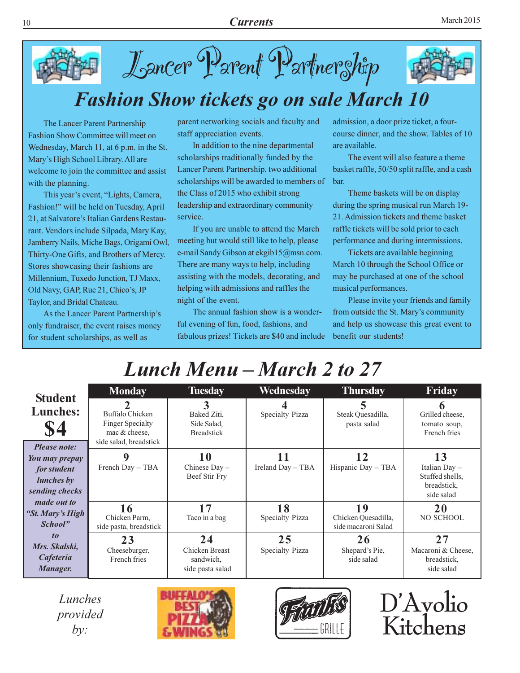

### **Fashion Show tickets go on sale March 10**

Lancer Parent Partnerghtp

The Lancer Parent Partnership Fashion Show Committee will meet on Wednesday, March 11, at 6 p.m. in the St. Mary's High School Library. All are welcome to join the committee and assist with the planning.

This year's event, "Lights, Camera, Fashion!" will be held on Tuesday, April 21, at Salvatore's Italian Gardens Restaurant. Vendors include Silpada, Mary Kay, Jamberry Nails, Miche Bags, Origami Owl, Thirty-One Gifts, and Brothers of Mercy. Stores showcasing their fashions are Millennium, Tuxedo Junction, TJ Maxx, Old Navy, GAP, Rue 21, Chico's, JP Taylor, and Bridal Chateau.

As the Lancer Parent Partnership's only fundraiser, the event raises money for student scholarships, as well as

parent networking socials and faculty and staff appreciation events.

In addition to the nine departmental scholarships traditionally funded by the Lancer Parent Partnership, two additional scholarships will be awarded to members of the Class of 2015 who exhibit strong leadership and extraordinary community service.

If you are unable to attend the March meeting but would still like to help, please e-mail Sandy Gibson at ekgib15@msn.com. There are many ways to help, including assisting with the models, decorating, and helping with admissions and raffles the night of the event.

The annual fashion show is a wonderful evening of fun, food, fashions, and fabulous prizes! Tickets are \$40 and include admission, a door prize ticket, a fourcourse dinner, and the show. Tables of 10 are available.

The event will also feature a theme basket raffle, 50/50 split raffle, and a cash bar.

Theme baskets will be on display during the spring musical run March 19-21. Admission tickets and theme basket raffle tickets will be sold prior to each performance and during intermissions.

Tickets are available beginning March 10 through the School Office or may be purchased at one of the school musical performances.

Please invite your friends and family from outside the St. Mary's community and help us showcase this great event to benefit our students!

## Lunch Menu – March 2 to 27

| <b>Student</b>                                                              | <b>Monday</b>                                                                         | <b>Tuesday</b>                                        | Wednesday             | <b>Thursday</b>                                  | Friday                                                                |
|-----------------------------------------------------------------------------|---------------------------------------------------------------------------------------|-------------------------------------------------------|-----------------------|--------------------------------------------------|-----------------------------------------------------------------------|
| <b>Lunches:</b><br>\$4<br><b>Please note:</b>                               | Buffalo Chicken<br><b>Finger Specialty</b><br>mac & cheese.<br>side salad, breadstick | 3<br>Baked Ziti.<br>Side Salad,<br><b>Breadstick</b>  | Specialty Pizza       | Steak Quesadilla,<br>pasta salad                 | Grilled cheese,<br>tomato soup,<br>French fries                       |
| You may prepay<br><i>for student</i><br><i>lunches</i> by<br>sending checks | French Day - TBA                                                                      | 10<br>Chinese $Day -$<br>Beef Stir Fry                | Ireland Day - TBA     | Hispanic Day - TBA                               | 13<br>Italian $Day -$<br>Stuffed shells,<br>breadstick,<br>side salad |
| <i>made out to</i><br>"St. Mary's High<br>School"                           | 16<br>Chicken Parm,<br>side pasta, breadstick                                         | 17<br>Taco in a bag                                   | 18<br>Specialty Pizza | 19<br>Chicken Quesadilla,<br>side macaroni Salad | 20<br><b>NO SCHOOL</b>                                                |
| $\boldsymbol{10}$<br>Mrs. Skalski,<br>Cafeteria<br>Manager.                 | 23<br>Cheeseburger,<br>French fries                                                   | 24<br>Chicken Breast<br>sandwich,<br>side pasta salad | 25<br>Specialty Pizza | 26<br>Shepard's Pie,<br>side salad               | 27<br>Macaroni & Cheese,<br>breadstick,<br>side salad                 |

Lunches provided  $by:$ 





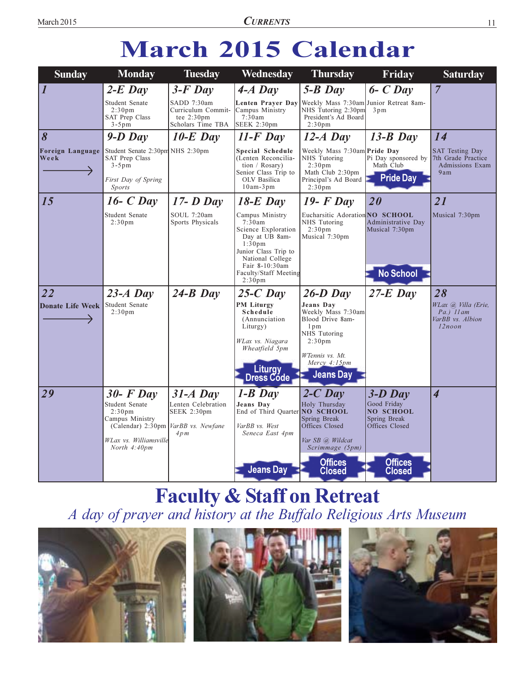# **March 2015 Calendar**

| <b>Sunday</b>            | <b>Monday</b>                                                                                                          | <b>Tuesday</b>                                                                 | Wednesday                                                                                                                                                                                             | <b>Thursday</b>                                                                                                                                            | Friday                                                     | <b>Saturday</b>                                                               |
|--------------------------|------------------------------------------------------------------------------------------------------------------------|--------------------------------------------------------------------------------|-------------------------------------------------------------------------------------------------------------------------------------------------------------------------------------------------------|------------------------------------------------------------------------------------------------------------------------------------------------------------|------------------------------------------------------------|-------------------------------------------------------------------------------|
| $\overline{\mathbf{I}}$  | $2-E$ Day                                                                                                              | $3-F$ Day                                                                      | $4-A$ Day                                                                                                                                                                                             | $5 - B$ Day                                                                                                                                                | $6$ - $C$ Day                                              | $\overline{7}$                                                                |
|                          | Student Senate<br>2:30 <sub>pm</sub><br>SAT Prep Class<br>$3-5$ pm                                                     | SADD 7:30am<br>Curriculum Commit-<br>tee $2:30 \text{pm}$<br>Scholars Time TBA | Lenten Prayer Day<br>Campus Ministry<br>7:30am<br>SEEK 2:30pm                                                                                                                                         | Weekly Mass 7:30am Junior Retreat 8am-<br>NHS Tutoring 2:30pm<br>President's Ad Board<br>2:30 <sub>pm</sub>                                                | 3pm                                                        |                                                                               |
| $\vert 8$                | $9-D$ Day                                                                                                              | $10-E$ Day                                                                     | $11-F$ Day                                                                                                                                                                                            | $12-A$ Day                                                                                                                                                 | $13-B$ Day                                                 | 14                                                                            |
| Foreign Language<br>Week | Student Senate 2:30pm NHS 2:30pm<br>SAT Prep Class<br>$3-5$ pm                                                         |                                                                                | Special Schedule<br>(Lenten Reconcilia-<br>tion / Rosary)<br>Senior Class Trip to                                                                                                                     | Weekly Mass 7:30am Pride Day<br>NHS Tutoring<br>2:30 <sub>pm</sub><br>Math Club 2:30pm                                                                     | Pi Day sponsored by<br>Math Club                           | <b>SAT Testing Day</b><br>7th Grade Practice<br><b>Admissions Exam</b><br>9am |
|                          | First Day of Spring<br><i>Sports</i>                                                                                   |                                                                                | OLV Basilica<br>$10am-3pm$                                                                                                                                                                            | Principal's Ad Board<br>2:30 <sub>pm</sub>                                                                                                                 | <b>Pride Day</b>                                           |                                                                               |
| 15                       | $16$ - C Day                                                                                                           | $17 - D$ Day                                                                   | $18-E$ Day                                                                                                                                                                                            | $19$ - F Day                                                                                                                                               | 20                                                         | 21                                                                            |
|                          | Student Senate<br>2:30 <sub>pm</sub>                                                                                   | SOUL 7:20am<br>Sports Physicals                                                | Campus Ministry<br>7:30am<br>Science Exploration<br>Day at UB 8am-<br>1:30 <sub>pm</sub><br>Junior Class Trip to<br>National College<br>Fair 8-10:30am<br>Faculty/Staff Meeting<br>2:30 <sub>pm</sub> | Eucharsitic Adoration NO SCHOOL<br>NHS Tutoring<br>2:30 <sub>pm</sub><br>Musical 7:30pm                                                                    | Administrative Day<br>Musical 7:30pm<br><b>No School</b>   | Musical 7:30pm                                                                |
| $\overline{22}$          | $23-A$ Day                                                                                                             | $24-B$ Day                                                                     | $25-C$ Day                                                                                                                                                                                            | $26-D$ Day                                                                                                                                                 | $27-E$ Day                                                 | 28                                                                            |
| <b>Donate Life Week</b>  | Student Senate<br>2:30 <sub>pm</sub>                                                                                   |                                                                                | <b>PM Liturgy</b><br>Schedule<br>(Annunciation<br>Liturgy)<br>WLax vs. Niagara<br>Wheatfield 5pm<br><b>Liturgy</b><br>Dress Code                                                                      | Jeans Dav<br>Weekly Mass 7:30am<br>Blood Drive 8am-<br>$1p$ m<br>NHS Tutoring<br>2:30 <sub>pm</sub><br>WTennis vs. Mt.<br>Mercy 4:15pm<br><b>Jeans Day</b> |                                                            | WLax @, Villa (Erie,<br>$Pa.$ ) $11am$<br>VarBB vs. Albion<br>$12$ noon       |
| 29                       | $30$ - F Day<br>Student Senate                                                                                         | $31-A$ Day<br>Lenten Celebration                                               | $1 - B$ Day                                                                                                                                                                                           | $2-C$ Day                                                                                                                                                  | $3-D$ Day                                                  | $\overline{\mathcal{A}}$                                                      |
|                          | 2:30 <sub>pm</sub><br>Campus Ministry<br>(Calendar) 2:30pm VarBB vs. Newfane<br>WLax vs. Williamsville<br>North 4:40pm | SEEK 2:30pm<br>4pm                                                             | Jeans Day<br>End of Third Quarter NO SCHOOL<br>VarBB vs. West<br>Seneca East 4pm                                                                                                                      | Holy Thursday<br>Spring Break<br><b>Offices Closed</b><br>Var SB @, Wildcat<br>Scrimmage (5pm)                                                             | Good Friday<br>NO SCHOOL<br>Spring Break<br>Offices Closed |                                                                               |
|                          |                                                                                                                        |                                                                                | <b>Jeans Day</b>                                                                                                                                                                                      | <b>Offices</b><br><b>Closed</b>                                                                                                                            | <b>Offices</b><br><b>Closed</b>                            |                                                                               |

# **Faculty & Staff on Retreat**<br>A day of prayer and history at the Buffalo Religious Arts Museum